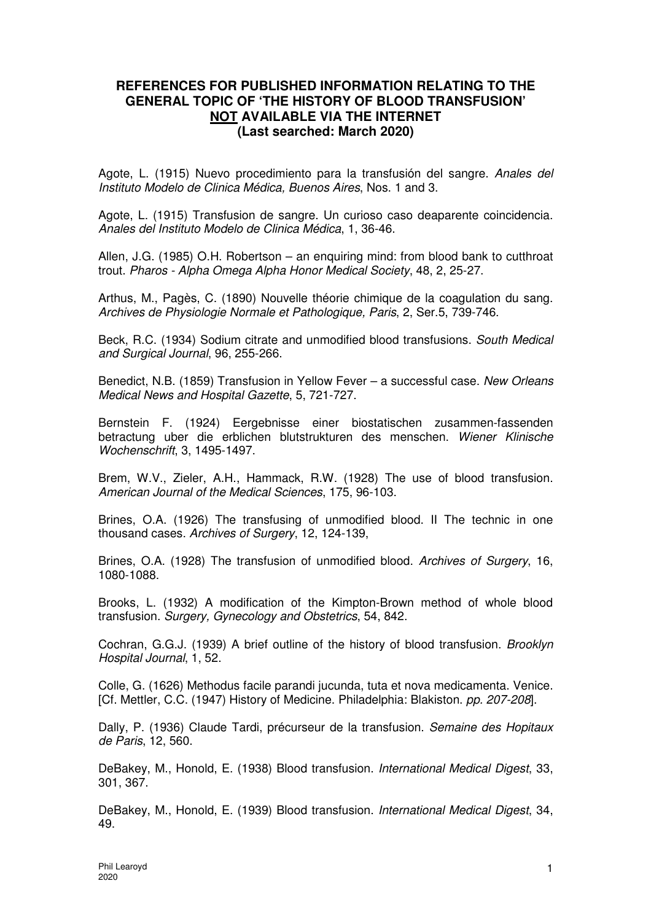## **REFERENCES FOR PUBLISHED INFORMATION RELATING TO THE GENERAL TOPIC OF 'THE HISTORY OF BLOOD TRANSFUSION' NOT AVAILABLE VIA THE INTERNET (Last searched: March 2020)**

Agote, L. (1915) Nuevo procedimiento para la transfusión del sangre. Anales del Instituto Modelo de Clinica Médica, Buenos Aires, Nos. 1 and 3.

Agote, L. (1915) Transfusion de sangre. Un curioso caso deaparente coincidencia. Anales del Instituto Modelo de Clinica Médica, 1, 36-46.

Allen, J.G. (1985) O.H. Robertson – an enquiring mind: from blood bank to cutthroat trout. Pharos - Alpha Omega Alpha Honor Medical Society, 48, 2, 25-27.

Arthus, M., Pagès, C. (1890) Nouvelle théorie chimique de la coagulation du sang. Archives de Physiologie Normale et Pathologique, Paris, 2, Ser.5, 739-746.

Beck, R.C. (1934) Sodium citrate and unmodified blood transfusions. South Medical and Surgical Journal, 96, 255-266.

Benedict, N.B. (1859) Transfusion in Yellow Fever – a successful case. New Orleans Medical News and Hospital Gazette, 5, 721-727.

Bernstein F. (1924) Eergebnisse einer biostatischen zusammen-fassenden betractung uber die erblichen blutstrukturen des menschen. Wiener Klinische Wochenschrift, 3, 1495-1497.

Brem, W.V., Zieler, A.H., Hammack, R.W. (1928) The use of blood transfusion. American Journal of the Medical Sciences, 175, 96-103.

Brines, O.A. (1926) The transfusing of unmodified blood. II The technic in one thousand cases. Archives of Surgery, 12, 124-139,

Brines, O.A. (1928) The transfusion of unmodified blood. Archives of Surgery, 16, 1080-1088.

Brooks, L. (1932) A modification of the Kimpton-Brown method of whole blood transfusion. Surgery, Gynecology and Obstetrics, 54, 842.

Cochran, G.G.J. (1939) A brief outline of the history of blood transfusion. Brooklyn Hospital Journal, 1, 52.

Colle, G. (1626) Methodus facile parandi jucunda, tuta et nova medicamenta. Venice. [Cf. Mettler, C.C. (1947) History of Medicine. Philadelphia: Blakiston. pp. 207-208].

Dally, P. (1936) Claude Tardi, précurseur de la transfusion. Semaine des Hopitaux de Paris, 12, 560.

DeBakey, M., Honold, E. (1938) Blood transfusion. International Medical Digest, 33, 301, 367.

DeBakey, M., Honold, E. (1939) Blood transfusion. International Medical Digest, 34, 49.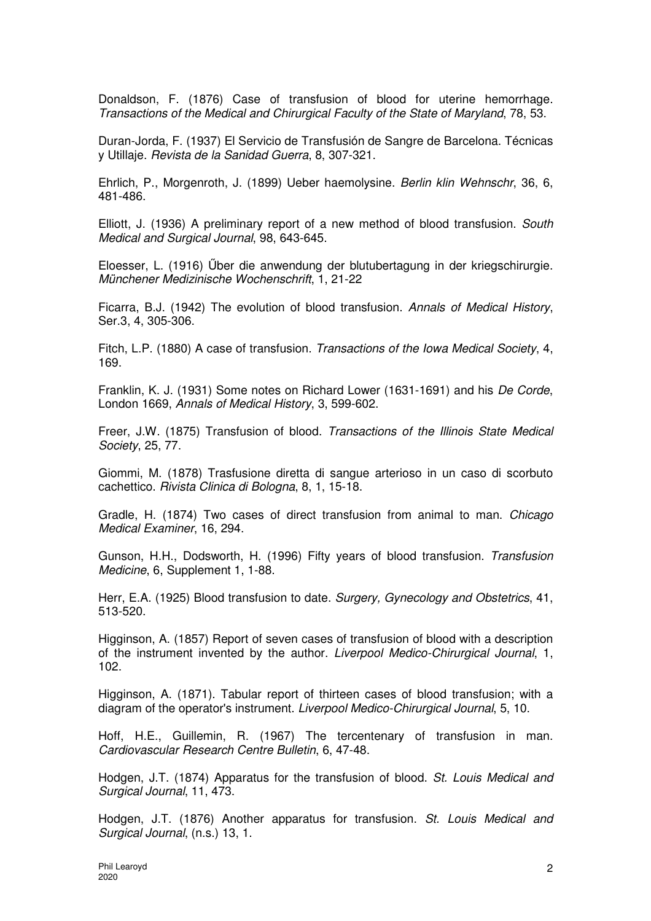Donaldson, F. (1876) Case of transfusion of blood for uterine hemorrhage. Transactions of the Medical and Chirurgical Faculty of the State of Maryland, 78, 53.

Duran-Jorda, F. (1937) El Servicio de Transfusión de Sangre de Barcelona. Técnicas y Utillaje. Revista de la Sanidad Guerra, 8, 307-321.

Ehrlich, P., Morgenroth, J. (1899) Ueber haemolysine. Berlin klin Wehnschr, 36, 6, 481-486.

Elliott, J. (1936) A preliminary report of a new method of blood transfusion. South Medical and Surgical Journal, 98, 643-645.

Eloesser, L. (1916) Űber die anwendung der blutubertagung in der kriegschirurgie. Münchener Medizinische Wochenschrift, 1, 21-22

Ficarra, B.J. (1942) The evolution of blood transfusion. Annals of Medical History, Ser.3, 4, 305-306.

Fitch, L.P. (1880) A case of transfusion. Transactions of the Iowa Medical Society, 4, 169.

Franklin, K. J. (1931) Some notes on Richard Lower (1631-1691) and his De Corde, London 1669, Annals of Medical History, 3, 599-602.

Freer, J.W. (1875) Transfusion of blood. Transactions of the Illinois State Medical Society, 25, 77.

Giommi, M. (1878) Trasfusione diretta di sangue arterioso in un caso di scorbuto cachettico. Rivista Clinica di Bologna, 8, 1, 15-18.

Gradle, H. (1874) Two cases of direct transfusion from animal to man. Chicago Medical Examiner, 16, 294.

Gunson, H.H., Dodsworth, H. (1996) Fifty years of blood transfusion. Transfusion Medicine, 6, Supplement 1, 1-88.

Herr, E.A. (1925) Blood transfusion to date. Surgery, Gynecology and Obstetrics, 41, 513-520.

Higginson, A. (1857) Report of seven cases of transfusion of blood with a description of the instrument invented by the author. Liverpool Medico-Chirurgical Journal, 1, 102.

Higginson, A. (1871). Tabular report of thirteen cases of blood transfusion; with a diagram of the operator's instrument. Liverpool Medico-Chirurgical Journal, 5, 10.

Hoff, H.E., Guillemin, R. (1967) The tercentenary of transfusion in man. Cardiovascular Research Centre Bulletin, 6, 47-48.

Hodgen, J.T. (1874) Apparatus for the transfusion of blood. St. Louis Medical and Surgical Journal, 11, 473.

Hodgen, J.T. (1876) Another apparatus for transfusion. St. Louis Medical and Surgical Journal, (n.s.) 13, 1.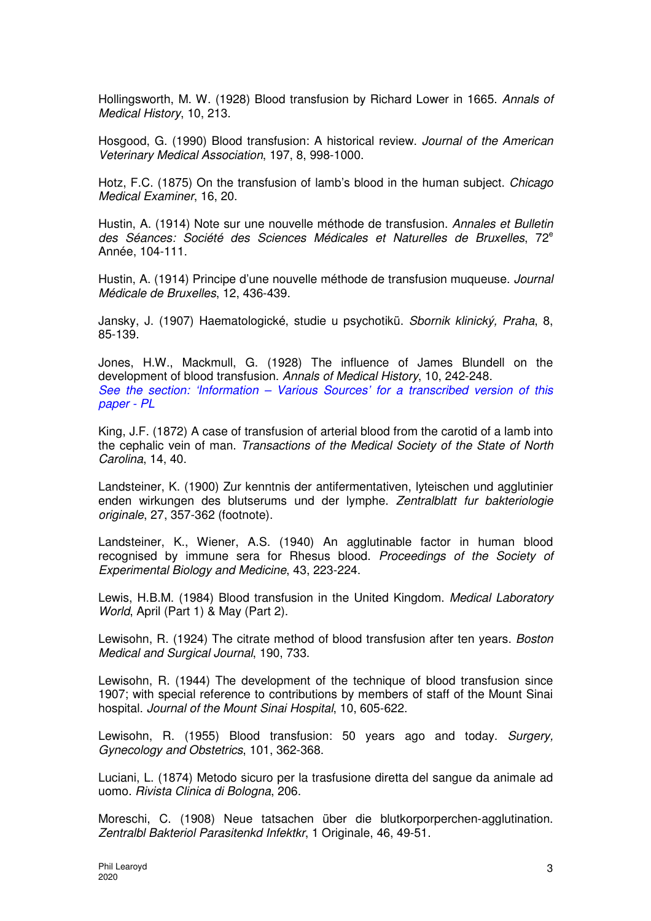Hollingsworth, M. W. (1928) Blood transfusion by Richard Lower in 1665. Annals of Medical History, 10, 213.

Hosgood, G. (1990) Blood transfusion: A historical review. Journal of the American Veterinary Medical Association, 197, 8, 998-1000.

Hotz, F.C. (1875) On the transfusion of lamb's blood in the human subject. Chicago Medical Examiner, 16, 20.

Hustin, A. (1914) Note sur une nouvelle méthode de transfusion. Annales et Bulletin des Séances: Société des Sciences Médicales et Naturelles de Bruxelles, 72<sup>e</sup> Année, 104-111.

Hustin, A. (1914) Principe d'une nouvelle méthode de transfusion muqueuse. Journal Médicale de Bruxelles, 12, 436-439.

Jansky, J. (1907) Haematologické, studie u psychotikü. Sbornik klinický, Praha, 8, 85-139.

Jones, H.W., Mackmull, G. (1928) The influence of James Blundell on the development of blood transfusion. Annals of Medical History, 10, 242-248. See the section: 'Information – Various Sources' for a transcribed version of this paper - PL

King, J.F. (1872) A case of transfusion of arterial blood from the carotid of a lamb into the cephalic vein of man. Transactions of the Medical Society of the State of North Carolina, 14, 40.

Landsteiner, K. (1900) Zur kenntnis der antifermentativen, lyteischen und agglutinier enden wirkungen des blutserums und der lymphe. Zentralblatt fur bakteriologie originale, 27, 357-362 (footnote).

Landsteiner, K., Wiener, A.S. (1940) An agglutinable factor in human blood recognised by immune sera for Rhesus blood. Proceedings of the Society of Experimental Biology and Medicine, 43, 223-224.

Lewis, H.B.M. (1984) Blood transfusion in the United Kingdom. Medical Laboratory World, April (Part 1) & May (Part 2).

Lewisohn, R. (1924) The citrate method of blood transfusion after ten years. Boston Medical and Surgical Journal, 190, 733.

Lewisohn, R. (1944) The development of the technique of blood transfusion since 1907; with special reference to contributions by members of staff of the Mount Sinai hospital. Journal of the Mount Sinai Hospital, 10, 605-622.

Lewisohn, R. (1955) Blood transfusion: 50 years ago and today. Surgery, Gynecology and Obstetrics, 101, 362-368.

Luciani, L. (1874) Metodo sicuro per la trasfusione diretta del sangue da animale ad uomo. Rivista Clinica di Bologna, 206.

Moreschi, C. (1908) Neue tatsachen über die blutkorporperchen-agglutination. Zentralbl Bakteriol Parasitenkd Infektkr, 1 Originale, 46, 49-51.